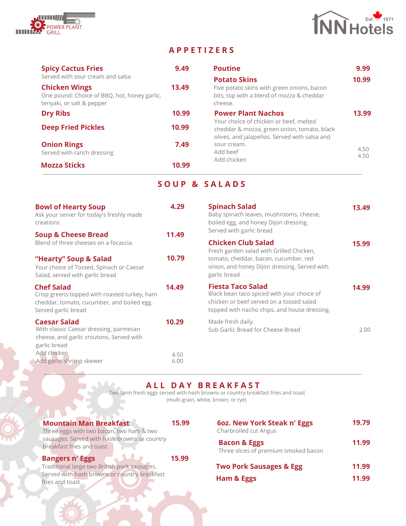



## **A P P E T I Z E R S**

| <b>Spicy Cactus Fries</b><br>Served with sour cream and salsa                                      | 9.49  | <b>Poutine</b><br><b>Potato Skins</b>                                                                                                 | 9.99<br>10.99 |
|----------------------------------------------------------------------------------------------------|-------|---------------------------------------------------------------------------------------------------------------------------------------|---------------|
| <b>Chicken Wings</b><br>One pound: Choice of BBQ, hot, honey garlic,<br>teriyaki, or salt & pepper | 13.49 | Five potato skins with green onions, bacon<br>bits, top with a blend of mozza & cheddar<br>cheese.                                    |               |
| <b>Dry Ribs</b>                                                                                    | 10.99 | <b>Power Plant Nachos</b>                                                                                                             | 13.99         |
| <b>Deep Fried Pickles</b>                                                                          | 10.99 | Your choice of chicken or beef, melted<br>cheddar & mozza, green onion, tomato, black<br>olives, and jalapeños. Served with salsa and |               |
| <b>Onion Rings</b><br>Served with ranch dressing                                                   | 7.49  | sour cream.<br>Add beef                                                                                                               | 4.50<br>4.50  |
| <b>Mozza Sticks</b>                                                                                | 10.99 | Add chicken                                                                                                                           |               |

## **S O U P & S A L A D S**

| <b>Bowl of Hearty Soup</b><br>Ask your server for today's freshly made<br>creations                                                    | 4.29         | <b>Spinach Salad</b><br>Baby spinach leaves, mushrooms, cheese,<br>boiled egg, and honey Dijon dressing.<br>Served with garlic bread                               | 13.49 |
|----------------------------------------------------------------------------------------------------------------------------------------|--------------|--------------------------------------------------------------------------------------------------------------------------------------------------------------------|-------|
| <b>Soup &amp; Cheese Bread</b><br>Blend of three cheeses on a focaccia.                                                                | 11.49        | <b>Chicken Club Salad</b><br>Fresh garden salad with Grilled Chicken,                                                                                              | 15.99 |
| "Hearty" Soup & Salad<br>Your choice of Tossed, Spinach or Caesar<br>Salad, served with garlic bread                                   | 10.79        | tomato, cheddar, bacon, cucumber, red<br>onion, and honey Dijon dressing. Served with<br>garlic bread                                                              |       |
| <b>Chef Salad</b><br>Crisp greens topped with roasted turkey, ham<br>cheddar, tomato, cucumber, and boiled egg.<br>Served garlic bread | 14.49        | <b>Fiesta Taco Salad</b><br>Black bean taco spiced with your choice of<br>chicken or beef served on a tossed salad<br>topped with nacho chips, and house dressing. | 14.99 |
| <b>Caesar Salad</b><br>With classic Caesar dressing, parmesan<br>cheese, and garlic croutons. Served with<br>garlic bread              | 10.29        | Made fresh daily.<br>Sub Garlic Bread for Cheese Bread                                                                                                             | 2.00  |
| Add chicken<br>Add garlic shrimp skewer                                                                                                | 4.50<br>6.00 |                                                                                                                                                                    |       |

**A L L D A Y B R E A K F A S T**

Two farm fresh eggs served with hash browns or country breakfast fries and toast (multi-grain, white, brown, or rye)

## **Mountain Man Breakfast**

**15.99**

**15.99**

|  |                           | Three eggs with two bacon, two ham & two |                                              |
|--|---------------------------|------------------------------------------|----------------------------------------------|
|  |                           |                                          | sausages. Served with hash browns or country |
|  | breakfast fries and toast |                                          |                                              |

#### **Bangers n' Eggs**

Traditional large two British pork sausages. Served with hash browns or country breakfast fries and toast

| 6oz. New York Steak n' Eggs<br>Charbroiled cut Angus            | 19.79 |
|-----------------------------------------------------------------|-------|
| <b>Bacon &amp; Eggs</b><br>Three slices of premium smoked bacon | 11.99 |
| <b>Two Pork Sausages &amp; Egg</b>                              | 11.99 |
| Ham & Eggs                                                      | 11.99 |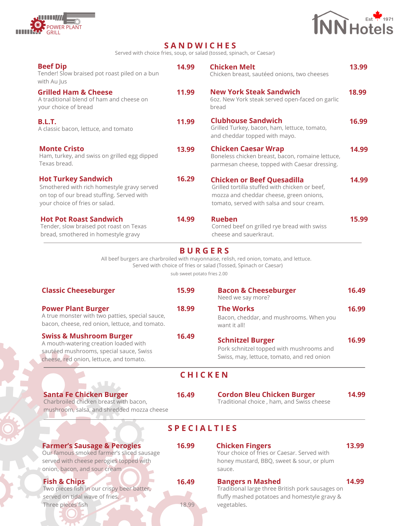



## **S A N D W I C H E S**

Served with choice fries, soup, or salad (tossed, spinach, or Caesar)

| <b>Beef Dip</b><br>Tender! Slow braised pot roast piled on a bun<br>with Au Jus                                                                                   | 14.99                                | <b>Chicken Melt</b><br>Chicken breast, sautéed onions, two cheeses                                                                                                                                                    | 13.99 |
|-------------------------------------------------------------------------------------------------------------------------------------------------------------------|--------------------------------------|-----------------------------------------------------------------------------------------------------------------------------------------------------------------------------------------------------------------------|-------|
| <b>Grilled Ham &amp; Cheese</b><br>A traditional blend of ham and cheese on<br>your choice of bread                                                               | 11.99                                | <b>New York Steak Sandwich</b><br>6oz. New York steak served open-faced on garlic<br>bread                                                                                                                            | 18.99 |
| <b>B.L.T.</b><br>A classic bacon, lettuce, and tomato                                                                                                             | 11.99                                | <b>Clubhouse Sandwich</b><br>Grilled Turkey, bacon, ham, lettuce, tomato,<br>and cheddar topped with mayo.                                                                                                            | 16.99 |
| <b>Monte Cristo</b><br>Ham, turkey, and swiss on grilled egg dipped<br>Texas bread.                                                                               | 13.99                                | <b>Chicken Caesar Wrap</b><br>Boneless chicken breast, bacon, romaine lettuce,<br>parmesan cheese, topped with Caesar dressing.                                                                                       | 14.99 |
| <b>Hot Turkey Sandwich</b><br>Smothered with rich homestyle gravy served<br>on top of our bread stuffing. Served with<br>your choice of fries or salad.           | 16.29                                | <b>Chicken or Beef Quesadilla</b><br>Grilled tortilla stuffed with chicken or beef,<br>mozza and cheddar cheese, green onions,<br>tomato, served with salsa and sour cream.                                           | 14.99 |
| <b>Hot Pot Roast Sandwich</b><br>Tender, slow braised pot roast on Texas<br>bread, smothered in homestyle gravy                                                   | 14.99                                | <b>Rueben</b><br>Corned beef on grilled rye bread with swiss<br>cheese and sauerkraut.                                                                                                                                | 15.99 |
| <b>Classic Cheeseburger</b>                                                                                                                                       | sub sweet potato fries 2.00<br>15.99 | All beef burgers are charbroiled with mayonnaise, relish, red onion, tomato, and lettuce.<br>Served with choice of fries or salad (Tossed, Spinach or Caesar)<br><b>Bacon &amp; Cheeseburger</b><br>Need we say more? | 16.49 |
|                                                                                                                                                                   |                                      |                                                                                                                                                                                                                       |       |
| <b>Power Plant Burger</b><br>A true monster with two patties, special sauce,<br>bacon, cheese, red onion, lettuce, and tomato.                                    | 18.99                                | <b>The Works</b><br>Bacon, cheddar, and mushrooms. When you<br>want it all!                                                                                                                                           | 16.99 |
| <b>Swiss &amp; Mushroom Burger</b><br>A mouth-watering creation loaded with<br>sautéed mushrooms, special sauce, Swiss<br>cheese, red onion, lettuce, and tomato. | 16.49                                | <b>Schnitzel Burger</b><br>Pork schnitzel topped with mushrooms and<br>Swiss, may, lettuce, tomato, and red onion                                                                                                     | 16.99 |
|                                                                                                                                                                   |                                      | <b>CHICKEN</b>                                                                                                                                                                                                        |       |
| <b>Santa Fe Chicken Burger</b><br>Charbroiled chicken breast with bacon,<br>mushroom, salsa, and shredded mozza cheese                                            | 16.49                                | <b>Cordon Bleu Chicken Burger</b><br>Traditional choice, ham, and Swiss cheese                                                                                                                                        | 14.99 |
|                                                                                                                                                                   |                                      | <b>SPECIALTIES</b>                                                                                                                                                                                                    |       |
| <b>Farmer's Sausage &amp; Perogies</b><br>Our famous smoked farmer's sliced sausage<br>served with cheese perogies topped with<br>onion, bacon, and sour cream    | 16.99                                | <b>Chicken Fingers</b><br>Your choice of fries or Caesar. Served with<br>honey mustard, BBQ, sweet & sour, or plum<br>sauce.                                                                                          | 13.99 |
| <b>Fish &amp; Chips</b><br>Two pieces fish in our crispy beer batter,<br>served on tidal wave of fries.<br>Three pieces fish                                      | 16.49<br>18.99                       | <b>Bangers n Mashed</b><br>Traditional large three British pork sausages on<br>fluffy mashed potatoes and homestyle gravy &<br>vegetables.                                                                            | 14.99 |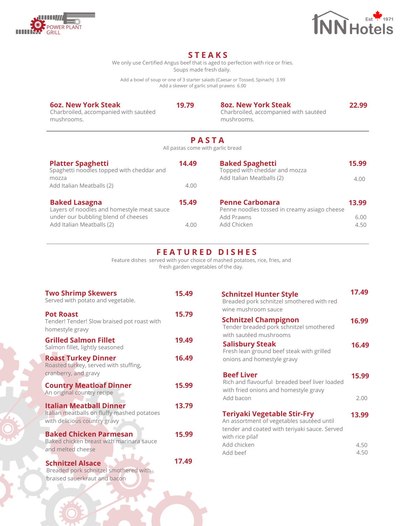



## **S T E A K S**

We only use Certified Angus beef that is aged to perfection with rice or fries. Soups made fresh daily.

Add a bowl of soup or one of 3 starter salads (Caesar or Tossed, Spinach) 3.99 Add a skewer of garlic small prawns 6.00

#### **6oz. New York Steak**

Charbroiled, accompanied with sautéed mushrooms.

Charbroiled, accompanied with sautéed mushrooms. **19.79 8oz. New York Steak 22.99**

**P A S T A**

All pastas come with garlic bread

| <b>Platter Spaghetti</b><br>Spaghetti noodles topped with cheddar and<br>mozza<br>Add Italian Meatballs (2)                            | 14.49<br>4.00 | <b>Baked Spaghetti</b><br>Topped with cheddar and mozza<br>Add Italian Meatballs (2)                | 15.99<br>4.00         |
|----------------------------------------------------------------------------------------------------------------------------------------|---------------|-----------------------------------------------------------------------------------------------------|-----------------------|
| <b>Baked Lasagna</b><br>Layers of noodles and homestyle meat sauce<br>under our bubbling blend of cheeses<br>Add Italian Meatballs (2) | 15.49<br>4.00 | <b>Penne Carbonara</b><br>Penne noodles tossed in creamy asiago cheese<br>Add Prawns<br>Add Chicken | 13.99<br>6.00<br>4.50 |

### **F E A T U R E D D I S H E S**

Feature dishes served with your choice of mashed potatoes, rice, fries, and fresh garden vegetables of the day.

| <b>Two Shrimp Skewers</b><br>Served with potato and vegetable.                                                | 15.49 |
|---------------------------------------------------------------------------------------------------------------|-------|
| <b>Pot Roast</b><br>Tender! Tender! Slow braised pot roast with<br>homestyle gravy                            | 15.79 |
| <b>Grilled Salmon Fillet</b><br>Salmon fillet, lightly seasoned                                               | 19.49 |
| <b>Roast Turkey Dinner</b><br>Roasted turkey, served with stuffing,<br>cranberry, and gravy                   | 16.49 |
| <b>Country Meatloaf Dinner</b><br>An original country recipe                                                  | 15.99 |
| <b>Italian Meatball Dinner</b><br>Italian meatballs on fluffy mashed potatoes<br>with delicious country gravy | 13.79 |
| <b>Baked Chicken Parmesan</b><br>Baked chicken breast with marinara sauce<br>and melted cheese                | 15.99 |
| <b>Schnitzel Alsace</b><br>Breaded pork schnitzel smothered with                                              | 17.49 |

braised sauerkraut and bacon

| <b>Schnitzel Hunter Style</b><br>Breaded pork schnitzel smothered with red<br>wine mushroom sauce                                                   | 17.49         |
|-----------------------------------------------------------------------------------------------------------------------------------------------------|---------------|
| <b>Schnitzel Champignon</b><br>Tender breaded pork schnitzel smothered<br>with sautéed mushrooms                                                    | 16.99         |
| <b>Salisbury Steak</b><br>Fresh lean ground beef steak with grilled<br>onions and homestyle gravy                                                   | 16.49         |
| <b>Beef Liver</b><br>Rich and flavourful breaded beef liver loaded<br>with fried onions and homestyle gravy<br>Add bacon                            | 15.99<br>2.00 |
| <b>Teriyaki Vegetable Stir-Fry</b><br>An assortment of vegetables sautéed until<br>tender and coated with teriyaki sauce. Served<br>with rice pilaf | 13.99         |
| Add chicken<br>Add beef                                                                                                                             | 4.50<br>4.50  |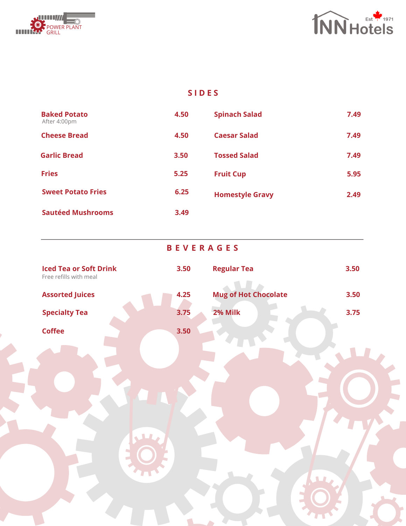



## **S I D E S**

| <b>Baked Potato</b><br>After 4:00pm | 4.50 | <b>Spinach Salad</b>   | 7.49 |
|-------------------------------------|------|------------------------|------|
| <b>Cheese Bread</b>                 | 4.50 | <b>Caesar Salad</b>    | 7.49 |
| <b>Garlic Bread</b>                 | 3.50 | <b>Tossed Salad</b>    | 7.49 |
| <b>Fries</b>                        | 5.25 | <b>Fruit Cup</b>       | 5.95 |
| <b>Sweet Potato Fries</b>           | 6.25 | <b>Homestyle Gravy</b> | 2.49 |
| <b>Sautéed Mushrooms</b>            | 3.49 |                        |      |

|                                                         | <b>BEVERAGES</b> |                             |      |
|---------------------------------------------------------|------------------|-----------------------------|------|
| <b>Iced Tea or Soft Drink</b><br>Free refills with meal | 3.50             | <b>Regular Tea</b>          | 3.50 |
| <b>Assorted Juices</b>                                  | 4.25             | <b>Mug of Hot Chocolate</b> | 3.50 |
| <b>Specialty Tea</b>                                    | 3.75             | 2% Milk                     | 3.75 |
| <b>Coffee</b>                                           | 3.50             |                             |      |
|                                                         |                  |                             |      |
|                                                         |                  |                             |      |
|                                                         |                  |                             |      |
|                                                         |                  |                             |      |
|                                                         |                  |                             |      |
|                                                         |                  |                             |      |